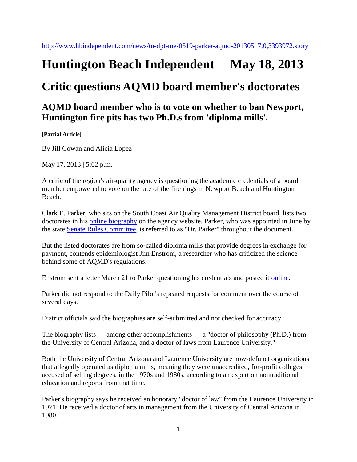## **Huntington Beach Independent May 18, 2013**

## **Critic questions AQMD board member's doctorates**

## **AQMD board member who is to vote on whether to ban Newport, Huntington fire pits has two Ph.D.s from 'diploma mills'.**

**[Partial Article]**

By Jill Cowan and Alicia Lopez

May 17, 2013 | 5:02 p.m.

A critic of the region's air-quality agency is questioning the academic credentials of a board member empowered to vote on the fate of the fire rings in Newport Beach and Huntington Beach.

Clark E. Parker, who sits on the South Coast Air Quality Management District board, lists two doctorates in his [online biography](http://www.aqmd.gov/bios/bm_parker_clark.html) on the agency website. Parker, who was appointed in June by the state [Senate Rules Committee,](http://www.hbindependent.com/topic/politics/government/u.s.-senate-committee-on-rules-administration-ORGOV000296.topic) is referred to as "Dr. Parker" throughout the document.

But the listed doctorates are from so-called diploma mills that provide degrees in exchange for payment, contends epidemiologist Jim Enstrom, a researcher who has criticized the science behind some of AQMD's regulations.

Enstrom sent a letter March 21 to Parker questioning his credentials and posted it [online.](http://www.scientificintegrityinstitute.org/Parker032113.pdf)

Parker did not respond to the Daily Pilot's repeated requests for comment over the course of several days.

District officials said the biographies are self-submitted and not checked for accuracy.

The biography lists — among other accomplishments — a "doctor of philosophy (Ph.D.) from the University of Central Arizona, and a doctor of laws from Laurence University."

Both the University of Central Arizona and Laurence University are now-defunct organizations that allegedly operated as diploma mills, meaning they were unaccredited, for-profit colleges accused of selling degrees, in the 1970s and 1980s, according to an expert on nontraditional education and reports from that time.

Parker's biography says he received an honorary "doctor of law" from the Laurence University in 1971. He received a doctor of arts in management from the University of Central Arizona in 1980.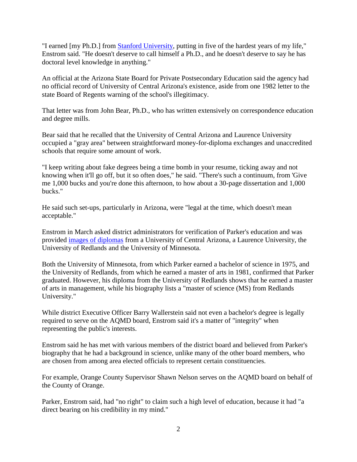"I earned [my Ph.D.] from [Stanford University,](http://www.hbindependent.com/topic/education/colleges-universities/stanford-university-OREDU0000292.topic) putting in five of the hardest years of my life," Enstrom said. "He doesn't deserve to call himself a Ph.D., and he doesn't deserve to say he has doctoral level knowledge in anything."

An official at the Arizona State Board for Private Postsecondary Education said the agency had no official record of University of Central Arizona's existence, aside from one 1982 letter to the state Board of Regents warning of the school's illegitimacy.

That letter was from John Bear, Ph.D., who has written extensively on correspondence education and degree mills.

Bear said that he recalled that the University of Central Arizona and Laurence University occupied a "gray area" between straightforward money-for-diploma exchanges and unaccredited schools that require some amount of work.

"I keep writing about fake degrees being a time bomb in your resume, ticking away and not knowing when it'll go off, but it so often does," he said. "There's such a continuum, from 'Give me 1,000 bucks and you're done this afternoon, to how about a 30-page dissertation and 1,000 bucks."

He said such set-ups, particularly in Arizona, were "legal at the time, which doesn't mean acceptable."

Enstrom in March asked district administrators for verification of Parker's education and was provided [images of diplomas](http://scientificintegrityinstitute.org/Parker031513.pdf) from a University of Central Arizona, a Laurence University, the University of Redlands and the University of Minnesota.

Both the University of Minnesota, from which Parker earned a bachelor of science in 1975, and the University of Redlands, from which he earned a master of arts in 1981, confirmed that Parker graduated. However, his diploma from the University of Redlands shows that he earned a master of arts in management, while his biography lists a "master of science (MS) from Redlands University."

While district Executive Officer Barry Wallerstein said not even a bachelor's degree is legally required to serve on the AQMD board, Enstrom said it's a matter of "integrity" when representing the public's interests.

Enstrom said he has met with various members of the district board and believed from Parker's biography that he had a background in science, unlike many of the other board members, who are chosen from among area elected officials to represent certain constituencies.

For example, Orange County Supervisor Shawn Nelson serves on the AQMD board on behalf of the County of Orange.

Parker, Enstrom said, had "no right" to claim such a high level of education, because it had "a direct bearing on his credibility in my mind."